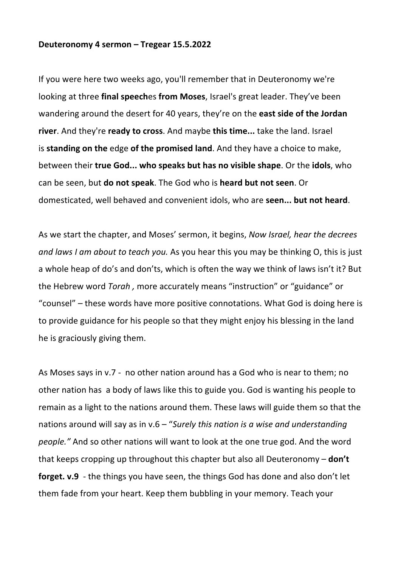## **Deuteronomy 4 sermon – Tregear 15.5.2022**

If you were here two weeks ago, you'll remember that in Deuteronomy we're looking at three **final speech**es **from Moses**, Israel's great leader. They've been wandering around the desert for 40 years, they're on the **east side of the Jordan river**. And they're **ready to cross**. And maybe **this time...** take the land. Israel is **standing on the** edge **of the promised land**. And they have a choice to make, between their **true God... who speaks but has no visible shape**. Or the **idols**, who can be seen, but **do not speak**. The God who is **heard but not seen**. Or domesticated, well behaved and convenient idols, who are **seen... but not heard**.

As we start the chapter, and Moses' sermon, it begins, *Now Israel, hear the decrees and laws I am about to teach you.* As you hear this you may be thinking O, this is just a whole heap of do's and don'ts, which is often the way we think of laws isn't it? But the Hebrew word *Torah ,* more accurately means "instruction" or "guidance" or "counsel" – these words have more positive connotations. What God is doing here is to provide guidance for his people so that they might enjoy his blessing in the land he is graciously giving them.

As Moses says in v.7 - no other nation around has a God who is near to them; no other nation has a body of laws like this to guide you. God is wanting his people to remain as a light to the nations around them. These laws will guide them so that the nations around will say as in v.6 – "*Surely this nation is a wise and understanding people."* And so other nations will want to look at the one true god. And the word that keeps cropping up throughout this chapter but also all Deuteronomy – **don't forget. v.9** - the things you have seen, the things God has done and also don't let them fade from your heart. Keep them bubbling in your memory. Teach your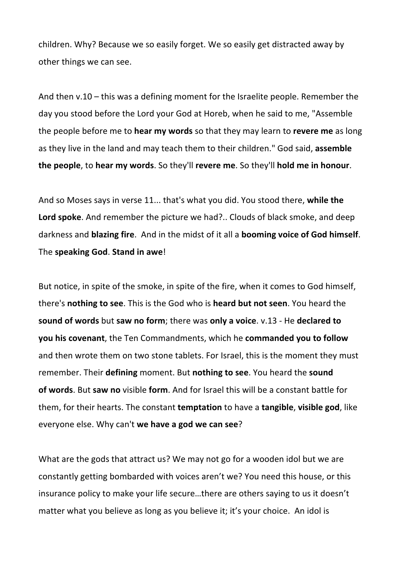children. Why? Because we so easily forget. We so easily get distracted away by other things we can see.

And then v.10 – this was a defining moment for the Israelite people. Remember the day you stood before the Lord your God at Horeb, when he said to me, "Assemble the people before me to **hear my words** so that they may learn to **revere me** as long as they live in the land and may teach them to their children." God said, **assemble the people**, to **hear my words**. So they'll **revere me**. So they'll **hold me in honour**.

And so Moses says in verse 11... that's what you did. You stood there, **while the Lord spoke**. And remember the picture we had?.. Clouds of black smoke, and deep darkness and **blazing fire**. And in the midst of it all a **booming voice of God himself**. The **speaking God**. **Stand in awe**!

But notice, in spite of the smoke, in spite of the fire, when it comes to God himself, there's **nothing to see**. This is the God who is **heard but not seen**. You heard the **sound of words** but **saw no form**; there was **only a voice**. v.13 - He **declared to you his covenant**, the Ten Commandments, which he **commanded you to follow** and then wrote them on two stone tablets. For Israel, this is the moment they must remember. Their **defining** moment. But **nothing to see**. You heard the **sound of words**. But **saw no** visible **form**. And for Israel this will be a constant battle for them, for their hearts. The constant **temptation** to have a **tangible**, **visible god**, like everyone else. Why can't **we have a god we can see**?

What are the gods that attract us? We may not go for a wooden idol but we are constantly getting bombarded with voices aren't we? You need this house, or this insurance policy to make your life secure…there are others saying to us it doesn't matter what you believe as long as you believe it; it's your choice. An idol is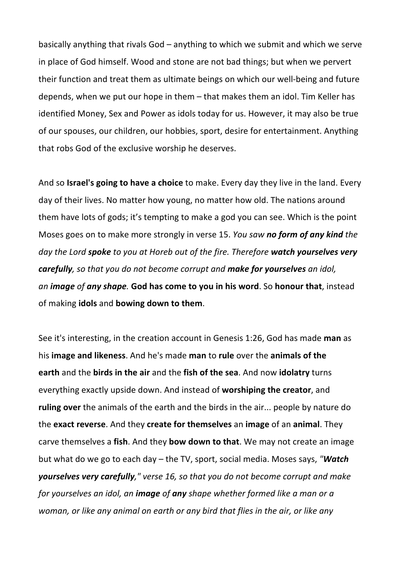basically anything that rivals God – anything to which we submit and which we serve in place of God himself. Wood and stone are not bad things; but when we pervert their function and treat them as ultimate beings on which our well-being and future depends, when we put our hope in them – that makes them an idol. Tim Keller has identified Money, Sex and Power as idols today for us. However, it may also be true of our spouses, our children, our hobbies, sport, desire for entertainment. Anything that robs God of the exclusive worship he deserves.

And so **Israel's going to have a choice** to make. Every day they live in the land. Every day of their lives. No matter how young, no matter how old. The nations around them have lots of gods; it's tempting to make a god you can see. Which is the point Moses goes on to make more strongly in verse 15. *You saw no form of any kind the day the Lord spoke to you at Horeb out of the fire. Therefore watch yourselves very carefully, so that you do not become corrupt and make for yourselves an idol, an image of any shape.* **God has come to you in his word**. So **honour that**, instead of making **idols** and **bowing down to them**.

See it's interesting, in the creation account in Genesis 1:26, God has made **man** as his **image and likeness**. And he's made **man** to **rule** over the **animals of the earth** and the **birds in the air** and the **fish of the sea**. And now **idolatry** turns everything exactly upside down. And instead of **worshiping the creator**, and **ruling over** the animals of the earth and the birds in the air... people by nature do the **exact reverse**. And they **create for themselves** an **image** of an **animal**. They carve themselves a **fish**. And they **bow down to that**. We may not create an image but what do we go to each day – the TV, sport, social media. Moses says, *"Watch yourselves very carefully," verse 16, so that you do not become corrupt and make for yourselves an idol, an image of any shape whether formed like a man or a woman, or like any animal on earth or any bird that flies in the air, or like any*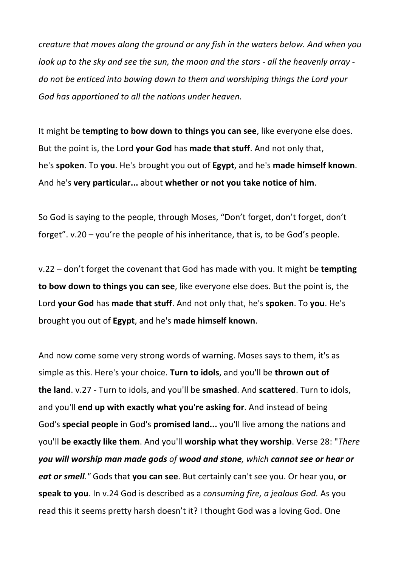*creature that moves along the ground or any fish in the waters below. And when you look up to the sky and see the sun, the moon and the stars - all the heavenly array do not be enticed into bowing down to them and worshiping things the Lord your God has apportioned to all the nations under heaven.*

It might be **tempting to bow down to things you can see**, like everyone else does. But the point is, the Lord **your God** has **made that stuff**. And not only that, he's **spoken**. To **you**. He's brought you out of **Egypt**, and he's **made himself known**. And he's **very particular...** about **whether or not you take notice of him**.

So God is saying to the people, through Moses, "Don't forget, don't forget, don't forget". v.20 – you're the people of his inheritance, that is, to be God's people.

v.22 – don't forget the covenant that God has made with you. It might be **tempting to bow down to things you can see**, like everyone else does. But the point is, the Lord **your God** has **made that stuff**. And not only that, he's **spoken**. To **you**. He's brought you out of **Egypt**, and he's **made himself known**.

And now come some very strong words of warning. Moses says to them, it's as simple as this. Here's your choice. **Turn to idols**, and you'll be **thrown out of the land**. v.27 - Turn to idols, and you'll be **smashed**. And **scattered**. Turn to idols, and you'll **end up with exactly what you're asking for**. And instead of being God's **special people** in God's **promised land...** you'll live among the nations and you'll **be exactly like them**. And you'll **worship what they worship**. Verse 28: "*There you will worship man made gods of wood and stone, which cannot see or hear or eat or smell."* Gods that **you can see**. But certainly can't see you. Or hear you, **or speak to you**. In v.24 God is described as a *consuming fire, a jealous God.* As you read this it seems pretty harsh doesn't it? I thought God was a loving God. One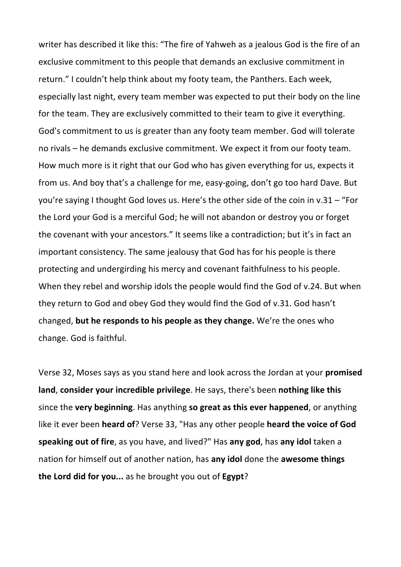writer has described it like this: "The fire of Yahweh as a jealous God is the fire of an exclusive commitment to this people that demands an exclusive commitment in return." I couldn't help think about my footy team, the Panthers. Each week, especially last night, every team member was expected to put their body on the line for the team. They are exclusively committed to their team to give it everything. God's commitment to us is greater than any footy team member. God will tolerate no rivals – he demands exclusive commitment. We expect it from our footy team. How much more is it right that our God who has given everything for us, expects it from us. And boy that's a challenge for me, easy-going, don't go too hard Dave. But you're saying I thought God loves us. Here's the other side of the coin in v.31 – "For the Lord your God is a merciful God; he will not abandon or destroy you or forget the covenant with your ancestors." It seems like a contradiction; but it's in fact an important consistency. The same jealousy that God has for his people is there protecting and undergirding his mercy and covenant faithfulness to his people. When they rebel and worship idols the people would find the God of v.24. But when they return to God and obey God they would find the God of v.31. God hasn't changed, **but he responds to his people as they change.** We're the ones who change. God is faithful.

Verse 32, Moses says as you stand here and look across the Jordan at your **promised land**, **consider your incredible privilege**. He says, there's been **nothing like this** since the **very beginning**. Has anything **so great as this ever happened**, or anything like it ever been **heard of**? Verse 33, "Has any other people **heard the voice of God speaking out of fire**, as you have, and lived?" Has **any god**, has **any idol** taken a nation for himself out of another nation, has **any idol** done the **awesome things the Lord did for you...** as he brought you out of **Egypt**?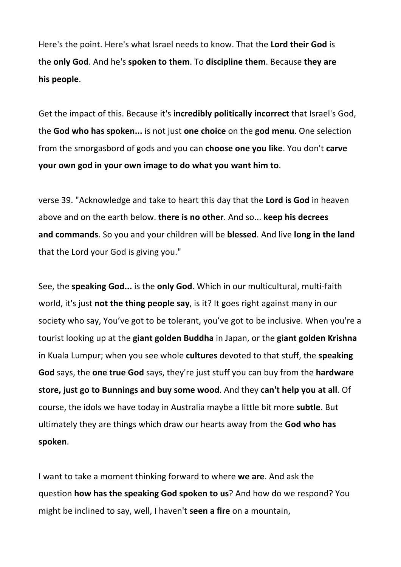Here's the point. Here's what Israel needs to know. That the **Lord their God** is the **only God**. And he's **spoken to them**. To **discipline them**. Because **they are his people**.

Get the impact of this. Because it's **incredibly politically incorrect** that Israel's God, the **God who has spoken...** is not just **one choice** on the **god menu**. One selection from the smorgasbord of gods and you can **choose one you like**. You don't **carve your own god in your own image to do what you want him to**.

verse 39. "Acknowledge and take to heart this day that the **Lord is God** in heaven above and on the earth below. **there is no other**. And so... **keep his decrees and commands**. So you and your children will be **blessed**. And live **long in the land** that the Lord your God is giving you."

See, the **speaking God...** is the **only God**. Which in our multicultural, multi-faith world, it's just **not the thing people say**, is it? It goes right against many in our society who say, You've got to be tolerant, you've got to be inclusive. When you're a tourist looking up at the **giant golden Buddha** in Japan, or the **giant golden Krishna** in Kuala Lumpur; when you see whole **cultures** devoted to that stuff, the **speaking God** says, the **one true God** says, they're just stuff you can buy from the **hardware store, just go to Bunnings and buy some wood**. And they **can't help you at all**. Of course, the idols we have today in Australia maybe a little bit more **subtle**. But ultimately they are things which draw our hearts away from the **God who has spoken**.

I want to take a moment thinking forward to where **we are**. And ask the question **how has the speaking God spoken to us**? And how do we respond? You might be inclined to say, well, I haven't **seen a fire** on a mountain,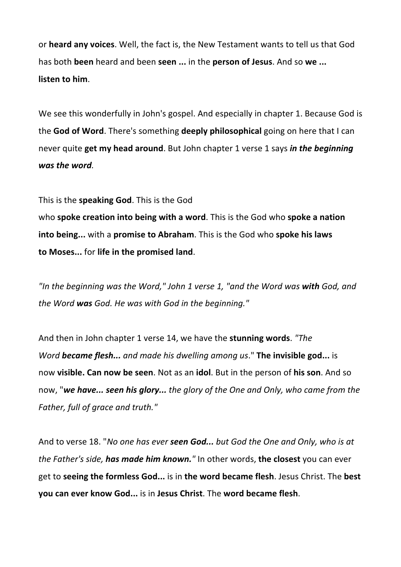or **heard any voices**. Well, the fact is, the New Testament wants to tell us that God has both **been** heard and been **seen ...** in the **person of Jesus**. And so **we ... listen to him**.

We see this wonderfully in John's gospel. And especially in chapter 1. Because God is the **God of Word**. There's something **deeply philosophical** going on here that I can never quite **get my head around**. But John chapter 1 verse 1 says *in the beginning was the word.*

This is the **speaking God**. This is the God

who **spoke creation into being with a word**. This is the God who **spoke a nation into being...** with a **promise to Abraham**. This is the God who **spoke his laws to Moses...** for **life in the promised land**.

*"In the beginning was the Word," John 1 verse 1, "and the Word was with God, and the Word was God. He was with God in the beginning."*

And then in John chapter 1 verse 14, we have the **stunning words**. *"The Word became flesh... and made his dwelling among us*." **The invisible god...** is now **visible. Can now be seen**. Not as an **idol**. But in the person of **his son**. And so now, "*we have... seen his glory... the glory of the One and Only, who came from the Father, full of grace and truth."*

And to verse 18. "*No one has ever seen God... but God the One and Only, who is at the Father's side, has made him known."* In other words, **the closest** you can ever get to **seeing the formless God...** is in **the word became flesh**. Jesus Christ. The **best you can ever know God...** is in **Jesus Christ**. The **word became flesh**.